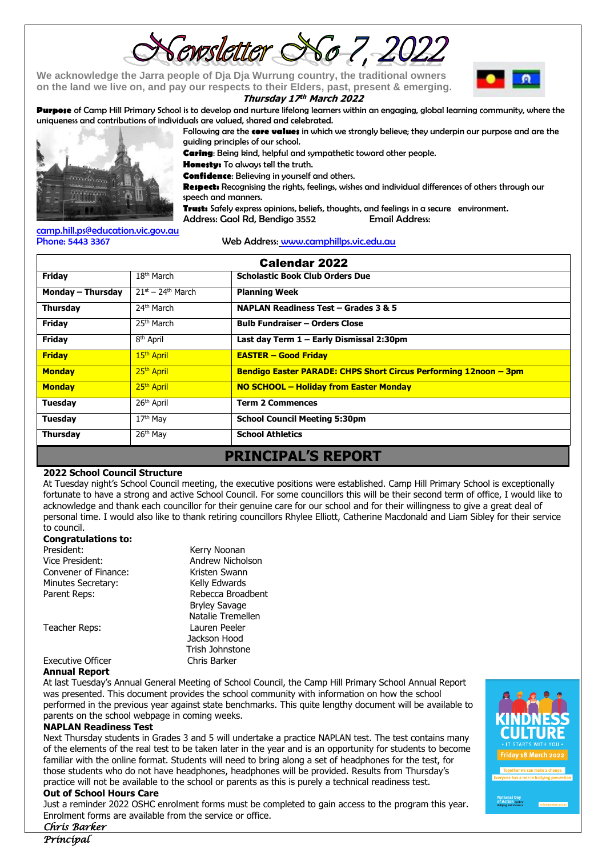ewsletter SSo 7, 20

**We acknowledge the Jarra people of Dja Dja Wurrung country, the traditional owners on the land we live on, and pay our respects to their Elders, past, present & emerging.** 

#### **Thursday 17 th March 2022**

**Purpese** of Camp Hill Primary School is to develop and nurture lifelong learners within an engaging, global learning community, where the uniqueness and contributions of individuals are valued, shared and celebrated.



Following are the **core values** in which we strongly believe; they underpin our purpose and are the guiding principles of our school.

**Caring**: Being kind, helpful and sympathetic toward other people.

**Honesty:** To always tell the truth.

**Confidence**: Believing in yourself and others.

**Respect:** Recognising the rights, feelings, wishes and individual differences of others through our speech and manners.

**Trust:** Safely express opinions, beliefs, thoughts, and feelings in a secure environment.

Address: Gaol Rd, Bendigo 3552 Email Address:

[camp.hill.ps@education.vic.gov.au](mailto:camp.hill.ps@education.vic.gov.au)

Phone: 5443 3367 Web Address: [www.camphillps.vic.edu.au](http://www.camphillps.vic.edu.au/)

| Calendar 2022             |                                    |                                                                  |  |  |
|---------------------------|------------------------------------|------------------------------------------------------------------|--|--|
| Friday                    | $18th$ March                       | <b>Scholastic Book Club Orders Due</b>                           |  |  |
| Monday – Thursday         | $21^{st}$ – 24 <sup>th</sup> March | <b>Planning Week</b>                                             |  |  |
| <b>Thursday</b>           | 24 <sup>th</sup> March             | NAPLAN Readiness Test - Grades 3 & 5                             |  |  |
| Friday                    | 25 <sup>th</sup> March             | <b>Bulb Fundraiser - Orders Close</b>                            |  |  |
| Friday                    | 8 <sup>th</sup> April              | Last day Term 1 - Early Dismissal 2:30pm                         |  |  |
| <b>Friday</b>             | 15 <sup>th</sup> April             | <b>EASTER - Good Friday</b>                                      |  |  |
| <b>Monday</b>             | 25 <sup>th</sup> April             | Bendigo Easter PARADE: CHPS Short Circus Performing 12noon - 3pm |  |  |
| <b>Monday</b>             | 25 <sup>th</sup> April             | NO SCHOOL - Holiday from Easter Monday                           |  |  |
| <b>Tuesday</b>            | 26 <sup>th</sup> April             | <b>Term 2 Commences</b>                                          |  |  |
| <b>Tuesday</b>            | 17 <sup>th</sup> May               | <b>School Council Meeting 5:30pm</b>                             |  |  |
| <b>Thursday</b>           | 26 <sup>th</sup> May               | <b>School Athletics</b>                                          |  |  |
| <b>PRINCIPAL'S REPORT</b> |                                    |                                                                  |  |  |

#### **2022 School Council Structure**

At Tuesday night's School Council meeting, the executive positions were established. Camp Hill Primary School is exceptionally fortunate to have a strong and active School Council. For some councillors this will be their second term of office, I would like to acknowledge and thank each councillor for their genuine care for our school and for their willingness to give a great deal of personal time. I would also like to thank retiring councillors Rhylee Elliott, Catherine Macdonald and Liam Sibley for their service to council.

#### **Congratulations to:**

| President:               | Kerry Noonan         |
|--------------------------|----------------------|
| Vice President:          | Andrew Nicholson     |
| Convener of Finance:     | Kristen Swann        |
| Minutes Secretary:       | Kelly Edwards        |
| Parent Reps:             | Rebecca Broadbent    |
|                          | <b>Bryley Savage</b> |
|                          | Natalie Tremellen    |
| Teacher Reps:            | Lauren Peeler        |
|                          | Jackson Hood         |
|                          | Trish Johnstone      |
| <b>Executive Officer</b> | Chris Barker         |

### **Annual Report**

At last Tuesday's Annual General Meeting of School Council, the Camp Hill Primary School Annual Report was presented. This document provides the school community with information on how the school performed in the previous year against state benchmarks. This quite lengthy document will be available to parents on the school webpage in coming weeks.

#### **NAPLAN Readiness Test**

Next Thursday students in Grades 3 and 5 will undertake a practice NAPLAN test. The test contains many of the elements of the real test to be taken later in the year and is an opportunity for students to become familiar with the online format. Students will need to bring along a set of headphones for the test, for those students who do not have headphones, headphones will be provided. Results from Thursday's practice will not be available to the school or parents as this is purely a technical readiness test.

#### **Out of School Hours Care**

Just a reminder 2022 OSHC enrolment forms must be completed to gain access to the program this year. Enrolment forms are available from the service or office.



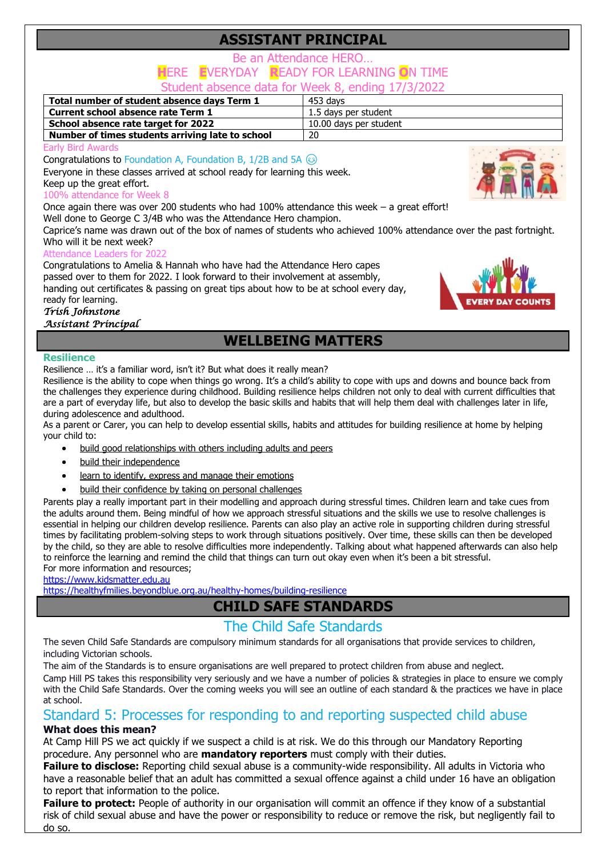# **ASSISTANT PRINCIPAL**

### Be an Attendance HERO… **H**ERE **E**VERYDAY **R**EADY FOR LEARNING **O**N TIME

Student absence data for Week 8, ending 17/3/2022

| Total number of student absence days Term 1      | 453 davs               |  |  |
|--------------------------------------------------|------------------------|--|--|
| Current school absence rate Term 1               | 1.5 days per student   |  |  |
| School absence rate target for 2022              | 10.00 days per student |  |  |
| Number of times students arriving late to school | 20                     |  |  |
| _ . _                                            |                        |  |  |

Early Bird Awards

**Congratulations to Foundation A, Foundation B, 1/2B and 5A**  $\circledcirc$ 

Everyone in these classes arrived at school ready for learning this week.

### Keep up the great effort.

### 100% attendance for Week 8

Once again there was over 200 students who had 100% attendance this week – a great effort! Well done to George C 3/4B who was the Attendance Hero champion.

Caprice's name was drawn out of the box of names of students who achieved 100% attendance over the past fortnight. Who will it be next week?

### Attendance Leaders for 202

Congratulations to Amelia & Hannah who have had the Attendance Hero capes passed over to them for 2022. I look forward to their involvement at assembly, handing out certificates & passing on great tips about how to be at school every day, ready for learning.

### *Trish Johnstone*

### *Assistant Principal*

### **WELLBEING MATTERS**

#### **Resilience**

Resilience … it's a familiar word, isn't it? But what does it really mean?

Resilience is the ability to cope when things go wrong. It's a child's ability to cope with ups and downs and bounce back from the challenges they experience during childhood. Building resilience helps children not only to deal with current difficulties that are a part of everyday life, but also to develop the basic skills and habits that will help them deal with challenges later in life, during adolescence and adulthood.

As a parent or Carer, you can help to develop essential skills, habits and attitudes for building resilience at home by helping your child to:

- [build good relationships with others including adults and peers](https://www.edumail.vic.gov.au/owa/redir.aspx?C=n8t0IfsaWvuvYh8jdjoAH7dixKpdaSQBh_oco-zhVOT9hClahK3WCA..&URL=https%3a%2f%2fhealthyfamilies.beyondblue.org.au%2fhealthy-homes%2fbuilding-resilience%2fbuild-supportive-relationships)
- [build their independence](https://www.edumail.vic.gov.au/owa/redir.aspx?C=JKZbyPyiTgF8tY6fmLvF9qkKYtV6hLrIS_2Xmpg4y-L9hClahK3WCA..&URL=https%3a%2f%2fhealthyfamilies.beyondblue.org.au%2fhealthy-homes%2fbuilding-resilience%2ffocus-on-autonomy-and-responsibility)
- [learn to identify, express and manage their emotions](https://www.edumail.vic.gov.au/owa/redir.aspx?C=YkYg62Gtcva6sJANMpJkkmz9r38HcVMKOG39yhmGzqj9hClahK3WCA..&URL=https%3a%2f%2fhealthyfamilies.beyondblue.org.au%2fhealthy-homes%2fbuilding-resilience%2ffocus-on-managing-emotions)
- [build their confidence by taking on personal challenges](https://www.edumail.vic.gov.au/owa/redir.aspx?C=KRMUxz8picce79Avc7nq0b5VsK801WEj_3o5SmZf2u_9hClahK3WCA..&URL=https%3a%2f%2fhealthyfamilies.beyondblue.org.au%2fhealthy-homes%2fbuilding-resilience%2fcreate-opportunities-for-personal-challenge)

Parents play a really important part in their modelling and approach during stressful times. Children learn and take cues from the adults around them. Being mindful of how we approach stressful situations and the skills we use to resolve challenges is essential in helping our children develop resilience. Parents can also play an active role in supporting children during stressful times by facilitating problem-solving steps to work through situations positively. Over time, these skills can then be developed by the child, so they are able to resolve difficulties more independently. Talking about what happened afterwards can also help to reinforce the learning and remind the child that things can turn out okay even when it's been a bit stressful. For more information and resources;

[https://www.kidsmatter.edu.au](https://www.kidsmatter.edu.au/)

<https://healthyfmilies.beyondblue.org.au/healthy-homes/building-resilience>

# **CHILD SAFE STANDARDS**

### The Child Safe Standards

The seven Child Safe Standards are compulsory minimum standards for all organisations that provide services to children, including Victorian schools.

The aim of the Standards is to ensure organisations are well prepared to protect children from abuse and neglect.

Camp Hill PS takes this responsibility very seriously and we have a number of policies & strategies in place to ensure we comply with the Child Safe Standards. Over the coming weeks you will see an outline of each standard & the practices we have in place at school.

# Standard 5: Processes for responding to and reporting suspected child abuse

### **What does this mean?**

At Camp Hill PS we act quickly if we suspect a child is at risk. We do this through our Mandatory Reporting procedure. Any personnel who are **mandatory reporters** must comply with their duties.

**Failure to disclose:** Reporting child sexual abuse is a community-wide responsibility. All adults in Victoria who have a reasonable belief that an adult has committed a sexual offence against a child under 16 have an obligation to report that information to the police.

**Failure to protect:** People of authority in our organisation will commit an offence if they know of a substantial risk of child sexual abuse and have the power or responsibility to reduce or remove the risk, but negligently fail to do so.

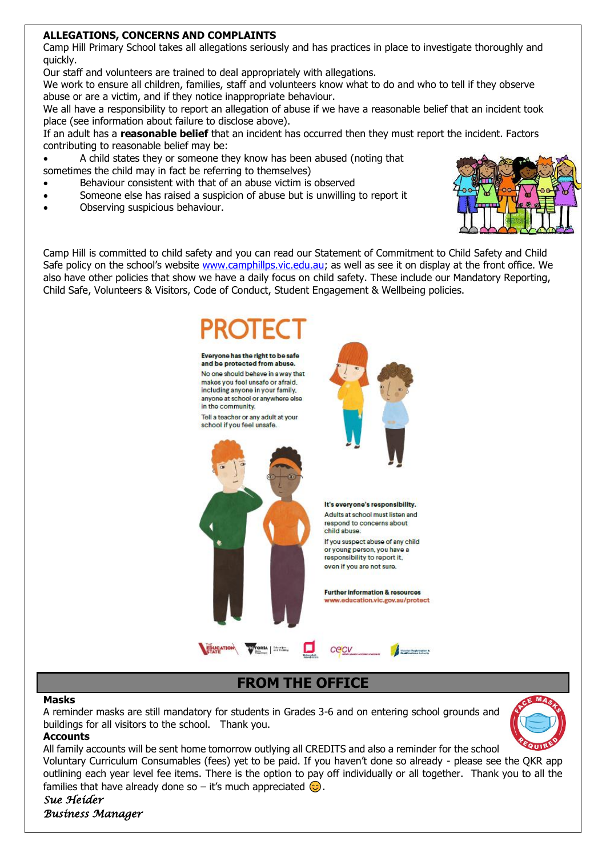### **ALLEGATIONS, CONCERNS AND COMPLAINTS**

Camp Hill Primary School takes all allegations seriously and has practices in place to investigate thoroughly and quickly.

Our staff and volunteers are trained to deal appropriately with allegations.

We work to ensure all children, families, staff and volunteers know what to do and who to tell if they observe abuse or are a victim, and if they notice inappropriate behaviour.

We all have a responsibility to report an allegation of abuse if we have a reasonable belief that an incident took place (see information about failure to disclose above).

If an adult has a **reasonable belief** that an incident has occurred then they must report the incident. Factors contributing to reasonable belief may be:

• A child states they or someone they know has been abused (noting that sometimes the child may in fact be referring to themselves)

- Behaviour consistent with that of an abuse victim is observed
- Someone else has raised a suspicion of abuse but is unwilling to report it
- Observing suspicious behaviour.



Camp Hill is committed to child safety and you can read our Statement of Commitment to Child Safety and Child Safe policy on the school's website [www.camphillps.vic.edu.au;](http://www.camphillps.vic.edu.au/) as well as see it on display at the front office. We also have other policies that show we have a daily focus on child safety. These include our Mandatory Reporting, Child Safe, Volunteers & Visitors, Code of Conduct, Student Engagement & Wellbeing policies.



### **FROM THE OFFICE**

### **Masks**

A reminder masks are still mandatory for students in Grades 3-6 and on entering school grounds and buildings for all visitors to the school. Thank you.



### **Accounts**

All family accounts will be sent home tomorrow outlying all CREDITS and also a reminder for the school Voluntary Curriculum Consumables (fees) yet to be paid. If you haven't done so already - please see the QKR app outlining each year level fee items. There is the option to pay off individually or all together. Thank you to all the

families that have already done so – it's much appreciated  $\odot$ .

*Sue Heider Business Manager*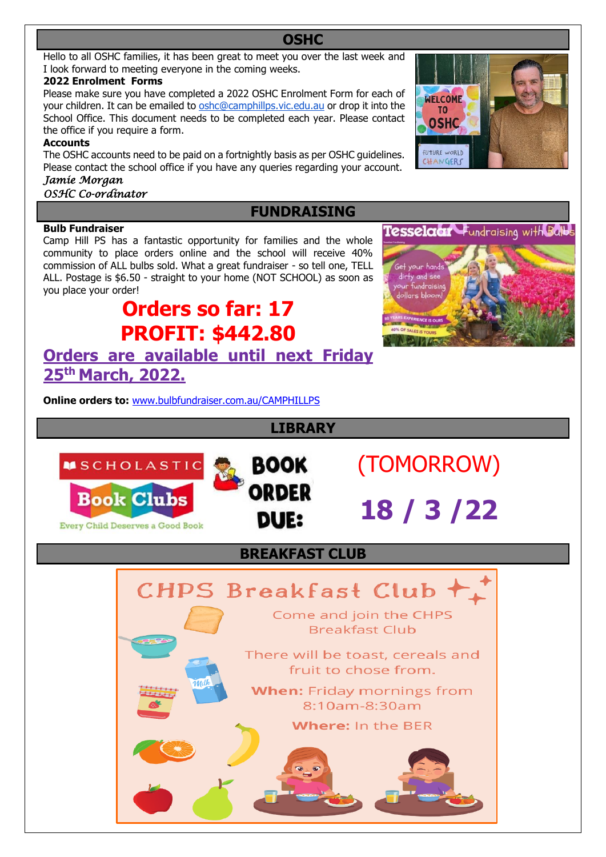### Hello to all OSHC families, it has been great to meet you over the last week and I look forward to meeting everyone in the coming weeks.

### **2022 Enrolment Forms**

Please make sure you have completed a 2022 OSHC Enrolment Form for each of your children. It can be emailed to [oshc@camphillps.vic.edu.au](mailto:oshc@camphillps.vic.edu.au) or drop it into the School Office. This document needs to be completed each year. Please contact the office if you require a form.

### **Accounts**

The OSHC accounts need to be paid on a fortnightly basis as per OSHC guidelines. Please contact the school office if you have any queries regarding your account.

## *Jamie Morgan*

*OSHC Co-ordinator* 

### **FUNDRAISING**

**LIBRARY**

**BOOK** 

**ORDER** 

**DUE:** 

**CHPS Breakfast Club** 

**BREAKFAST CLUB 22**

Come and join the CHPS **Breakfast Club** 

There will be toast, cereals and fruit to chose from.

When: Friday mornings from 8:10am-8:30am Where: In the BER

**OSHC**

### **Bulb Fundraiser**

Camp Hill PS has a fantastic opportunity for families and the whole community to place orders online and the school will receive 40% commission of ALL bulbs sold. What a great fundraiser - so tell one, TELL ALL. Postage is \$6.50 - straight to your home (NOT SCHOOL) as soon as you place your order!

# **Orders so far: 17 PROFIT: \$442.80 Orders are available until next Friday**

**25th March, 2022.**

**MSCHOLASTIC** 

**Book Clubs** 

**Every Child Deserves a Good Book** 

**Online orders to:** [www.bulbfundraiser.com.au/CAMPHILLPS](http://www.bulbfundraiser.com.au/CAMPHILLPS)





(TOMORROW)

 **18 / 3 /22**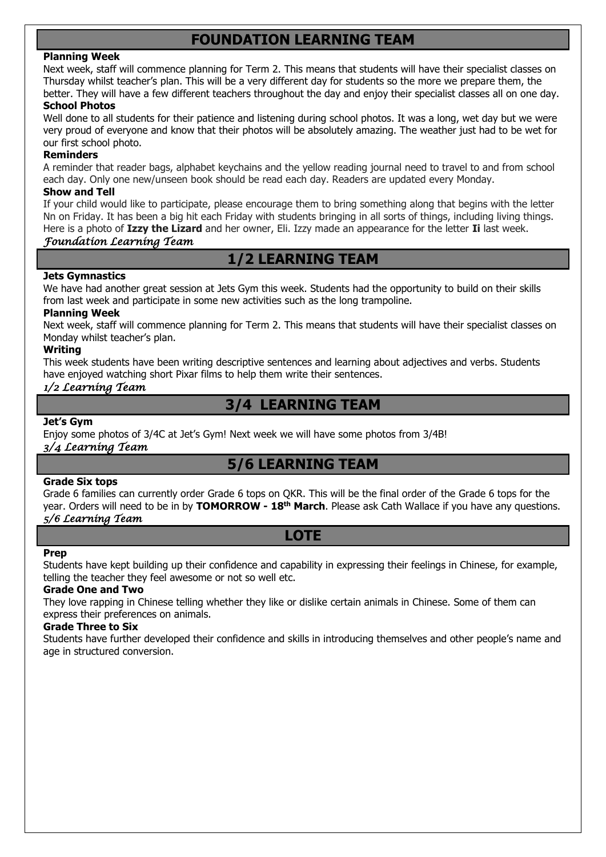# **FOUNDATION LEARNING TEAM**

#### **Planning Week**

Next week, staff will commence planning for Term 2. This means that students will have their specialist classes on Thursday whilst teacher's plan. This will be a very different day for students so the more we prepare them, the better. They will have a few different teachers throughout the day and enjoy their specialist classes all on one day. **School Photos**

Well done to all students for their patience and listening during school photos. It was a long, wet day but we were very proud of everyone and know that their photos will be absolutely amazing. The weather just had to be wet for our first school photo.

#### **Reminders**

A reminder that reader bags, alphabet keychains and the yellow reading journal need to travel to and from school each day. Only one new/unseen book should be read each day. Readers are updated every Monday.

#### **Show and Tell**

If your child would like to participate, please encourage them to bring something along that begins with the letter Nn on Friday. It has been a big hit each Friday with students bringing in all sorts of things, including living things. Here is a photo of **Izzy the Lizard** and her owner, Eli. Izzy made an appearance for the letter **Ii** last week.

### *Foundation Learning Team*

### **1/2 LEARNING TEAM**

### **Jets Gymnastics**

We have had another great session at Jets Gym this week. Students had the opportunity to build on their skills from last week and participate in some new activities such as the long trampoline.

#### **Planning Week**

Next week, staff will commence planning for Term 2. This means that students will have their specialist classes on Monday whilst teacher's plan.

### **Writing**

This week students have been writing descriptive sentences and learning about adjectives and verbs. Students have enjoyed watching short Pixar films to help them write their sentences.

### *1/2 Learning Team*

### **3/4 LEARNING TEAM**

#### **Jet's Gym**

Enjoy some photos of 3/4C at Jet's Gym! Next week we will have some photos from 3/4B!

### *3/4 Learning Team*

### **5/6 LEARNING TEAM**

#### **Grade Six tops**

Grade 6 families can currently order Grade 6 tops on QKR. This will be the final order of the Grade 6 tops for the year. Orders will need to be in by **TOMORROW - 18th March**. Please ask Cath Wallace if you have any questions. *5/6 Learning Team* 

### **LOTE**

#### **Prep**

Students have kept building up their confidence and capability in expressing their feelings in Chinese, for example, telling the teacher they feel awesome or not so well etc.

#### **Grade One and Two**

They love rapping in Chinese telling whether they like or dislike certain animals in Chinese. Some of them can express their preferences on animals.

#### **Grade Three to Six**

Students have further developed their confidence and skills in introducing themselves and other people's name and age in structured conversion.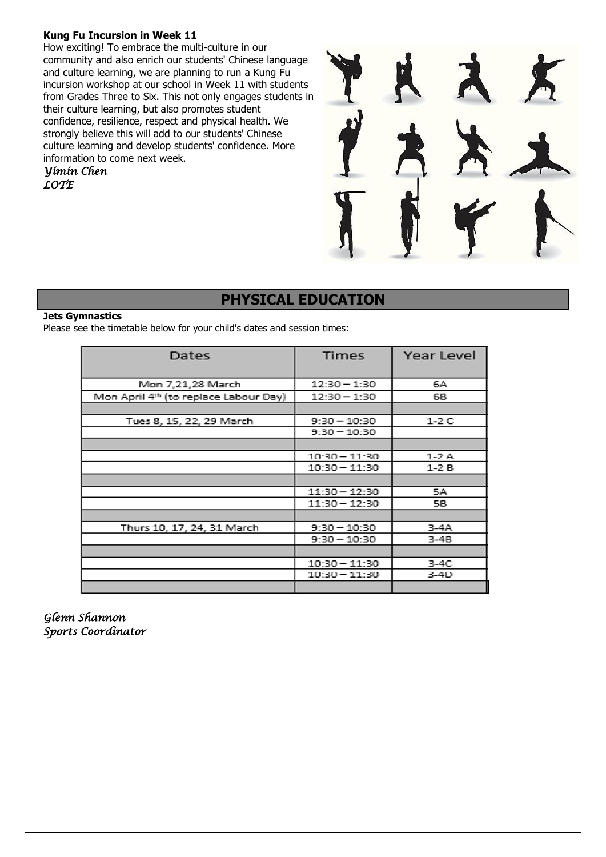### **Kung Fu Incursion in Week 11**

How exciting! To embrace the multi-culture in our community and also enrich our students' Chinese language and culture learning, we are planning to run a Kung Fu incursion workshop at our school in Week 11 with students from Grades Three to Six. This not only engages students in their culture learning, but also promotes student confidence, resilience, respect and physical health. We strongly believe this will add to our students' Chinese culture learning and develop students' confidence. More information to come next week.

*Yimin Chen LOTE* 



### **PHYSICAL EDUCATION**

#### **Jets Gymnastics**

Please see the timetable below for your child's dates and session times:

| Dates                                 | <b>Times</b>    | Year Level |  |
|---------------------------------------|-----------------|------------|--|
| Mon 7,21,28 March                     | $12:30 - 1:30$  | 6A         |  |
| Mon April 4th (to replace Labour Day) | $12:30 - 1:30$  | 68         |  |
|                                       |                 |            |  |
| Tues 8, 15, 22, 29 March              | $9:30 - 10:30$  | 1-2 C      |  |
|                                       | $9:30 - 10:30$  |            |  |
|                                       |                 |            |  |
|                                       | $10:30 - 11:30$ | $1-2A$     |  |
|                                       | $10:30 - 11:30$ | $1-2B$     |  |
|                                       |                 |            |  |
|                                       | $11:30 - 12:30$ | 5A         |  |
|                                       | $11:30 - 12:30$ | 5B         |  |
|                                       |                 |            |  |
| Thurs 10, 17, 24, 31 March            | $9:30 - 10:30$  | 3-4A       |  |
|                                       | $9:30 - 10:30$  | $3-4B$     |  |
|                                       |                 |            |  |
|                                       | $10:30 - 11:30$ | 3-4C       |  |
|                                       | $10:30 - 11:30$ | $3-4D$     |  |
|                                       |                 |            |  |

*Glenn Shannon Sports Coordinator*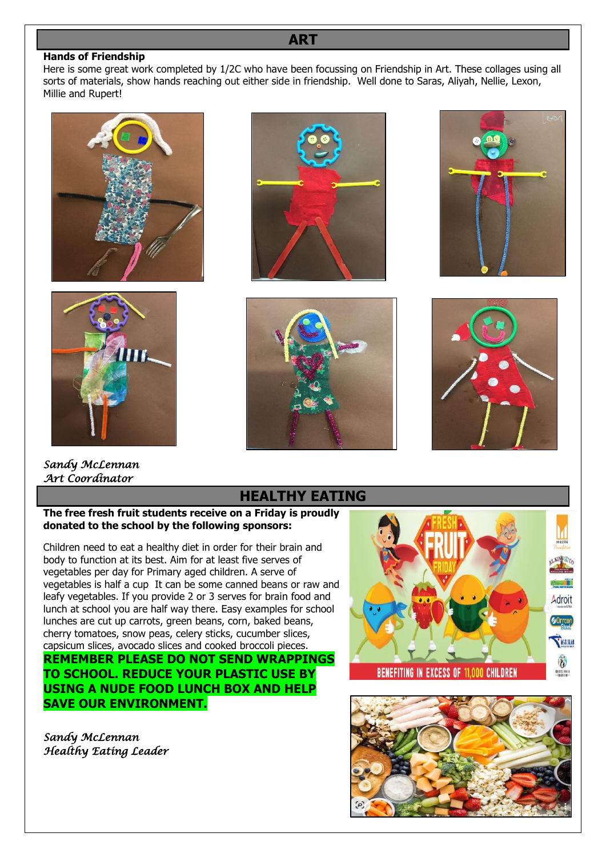### **ART**

#### **Hands of Friendship**

Here is some great work completed by 1/2C who have been focussing on Friendship in Art. These collages using all sorts of materials, show hands reaching out either side in friendship. Well done to Saras, Aliyah, Nellie, Lexon, Millie and Rupert!





*Sandy McLennan* 









# *Art Coordinator*

### **HEALTHY EATING**

**The free fresh fruit students receive on a Friday is proudly donated to the school by the following sponsors:**

Children need to eat a healthy diet in order for their brain and body to function at its best. Aim for at least five serves of vegetables per day for Primary aged children. A serve of vegetables is half a cup It can be some canned beans or raw and leafy vegetables. If you provide 2 or 3 serves for brain food and lunch at school you are half way there. Easy examples for school lunches are cut up carrots, green beans, corn, baked beans, cherry tomatoes, snow peas, celery sticks, cucumber slices, capsicum slices, avocado slices and cooked broccoli pieces. **REMEMBER PLEASE DO NOT SEND WRAPPINGS TO SCHOOL. REDUCE YOUR PLASTIC USE BY USING A NUDE FOOD LUNCH BOX AND HELP SAVE OUR ENVIRONMENT.**

*Sandy McLennan Healthy Eating Leader* 



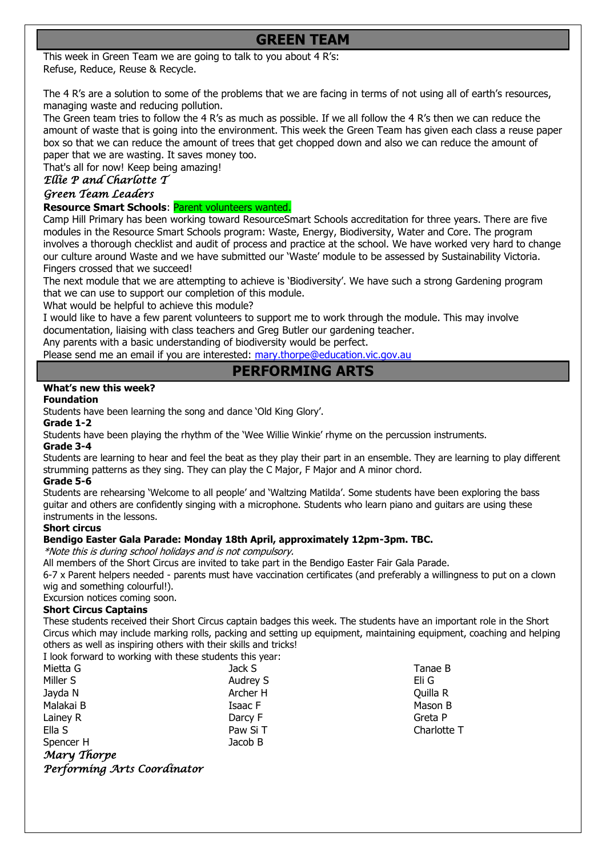# **GREEN TEAM**

This week in Green Team we are going to talk to you about 4 R's: Refuse, Reduce, Reuse & Recycle.

The 4 R's are a solution to some of the problems that we are facing in terms of not using all of earth's resources, managing waste and reducing pollution.

The Green team tries to follow the 4 R's as much as possible. If we all follow the 4 R's then we can reduce the amount of waste that is going into the environment. This week the Green Team has given each class a reuse paper box so that we can reduce the amount of trees that get chopped down and also we can reduce the amount of paper that we are wasting. It saves money too.

That's all for now! Keep being amazing!

### *Ellie P and Charlotte T*

### *Green Team Leaders*

**Resource Smart Schools**: Parent volunteers wanted.

Camp Hill Primary has been working toward ResourceSmart Schools accreditation for three years. There are five modules in the Resource Smart Schools program: Waste, Energy, Biodiversity, Water and Core. The program involves a thorough checklist and audit of process and practice at the school. We have worked very hard to change our culture around Waste and we have submitted our 'Waste' module to be assessed by Sustainability Victoria. Fingers crossed that we succeed!

The next module that we are attempting to achieve is 'Biodiversity'. We have such a strong Gardening program that we can use to support our completion of this module.

What would be helpful to achieve this module?

I would like to have a few parent volunteers to support me to work through the module. This may involve documentation, liaising with class teachers and Greg Butler our gardening teacher.

Any parents with a basic understanding of biodiversity would be perfect.

Please send me an email if you are interested: [mary.thorpe@education.vic.gov.au](mailto:mary.thorpe@education.vic.gov.au)

### **PERFORMING ARTS**

### **What's new this week?**

### **Foundation**

Students have been learning the song and dance 'Old King Glory'.

**Grade 1-2**

Students have been playing the rhythm of the 'Wee Willie Winkie' rhyme on the percussion instruments.

### **Grade 3-4**

Students are learning to hear and feel the beat as they play their part in an ensemble. They are learning to play different strumming patterns as they sing. They can play the C Major, F Major and A minor chord.

### **Grade 5-6**

Students are rehearsing 'Welcome to all people' and 'Waltzing Matilda'. Some students have been exploring the bass guitar and others are confidently singing with a microphone. Students who learn piano and guitars are using these instruments in the lessons.

### **Short circus**

### **Bendigo Easter Gala Parade: Monday 18th April, approximately 12pm-3pm. TBC.**

\*Note this is during school holidays and is not compulsory.

All members of the Short Circus are invited to take part in the Bendigo Easter Fair Gala Parade.

6-7 x Parent helpers needed - parents must have vaccination certificates (and preferably a willingness to put on a clown wig and something colourful!).

Excursion notices coming soon.

### **Short Circus Captains**

These students received their Short Circus captain badges this week. The students have an important role in the Short Circus which may include marking rolls, packing and setting up equipment, maintaining equipment, coaching and helping others as well as inspiring others with their skills and tricks! I look forward to working with these students this year:

| I TOOK TOT MATA TO MOTINITY MILIT LITCSC STAUCHTS LITIS YC |          |
|------------------------------------------------------------|----------|
| Mietta G                                                   | Jack S   |
| Miller S                                                   | Audrey S |
| Jayda N                                                    | Archer H |
| Malakai B                                                  | Isaac F  |
| Lainey R                                                   | Darcy F  |
| Ella S                                                     | Paw Si T |
| Spencer H                                                  | Jacob B  |
| Mary Thorpe                                                |          |
| Performing Arts Coordinator                                |          |

Tanae B Eli G Quilla R Mason B Greta P Charlotte T